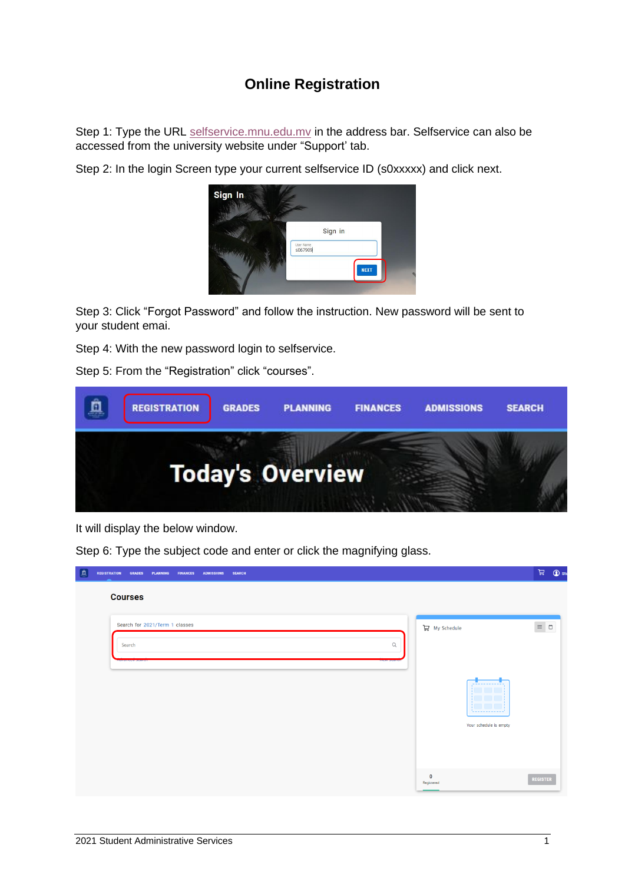## **Online Registration**

Step 1: Type the URL [selfservice.mnu.edu.mv](http://selfservice.mnu.edu.mv/Home/LogIn?ReturnUrl=%2F) in the address bar. Selfservice can also be accessed from the university website under "Support' tab.

Step 2: In the login Screen type your current selfservice ID (s0xxxxx) and click next.



Step 3: Click "Forgot Password" and follow the instruction. New password will be sent to your student emai.

Step 4: With the new password login to selfservice.

Step 5: From the "Registration" click "courses".



It will display the below window.

Step 6: Type the subject code and enter or click the magnifying glass.

| 回<br><b>REGISTRATION</b><br><b>GRADES</b><br><b>PLANNING</b><br><b>FINANCES</b><br><b>ADMISSIONS</b><br><b>SEARCH</b> |                                                    | $\mathbb{H}$ $\mathbb{Q}$ st                             |
|-----------------------------------------------------------------------------------------------------------------------|----------------------------------------------------|----------------------------------------------------------|
| <b>Courses</b>                                                                                                        |                                                    |                                                          |
| Search for 2021/Term 1 classes<br>$\hbox{\tt Q}$<br>Search                                                            | $\mathbb{R}$ My Schedule<br>Your schedule is empty | $\equiv \begin{array}{c} \square \\ \square \end{array}$ |
|                                                                                                                       | $\mathbf 0$<br>Registered                          | REGISTER                                                 |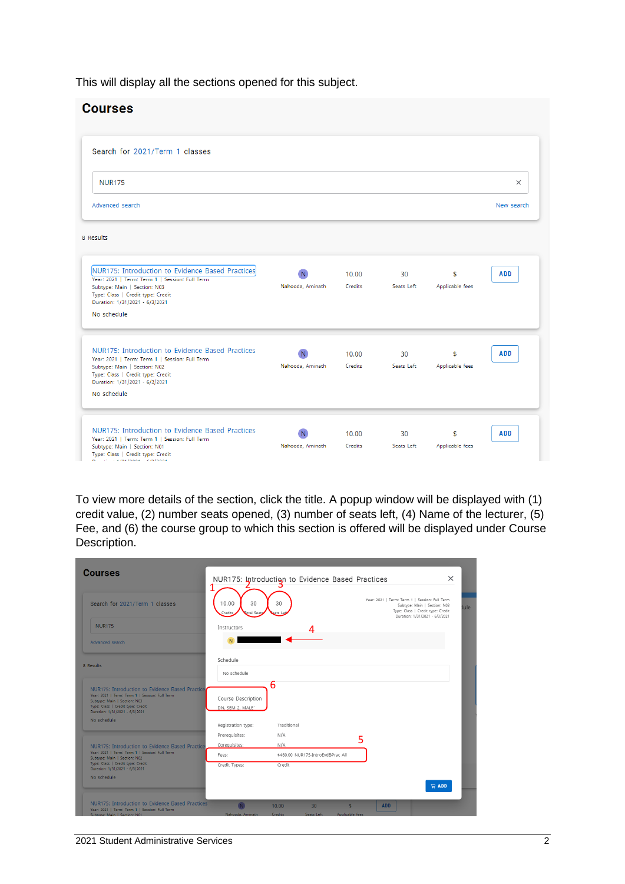This will display all the sections opened for this subject.

| <b>Courses</b>                                                                                                                                                                                                           |                  |                  |                  |                       |            |
|--------------------------------------------------------------------------------------------------------------------------------------------------------------------------------------------------------------------------|------------------|------------------|------------------|-----------------------|------------|
| Search for 2021/Term 1 classes                                                                                                                                                                                           |                  |                  |                  |                       |            |
| <b>NUR175</b>                                                                                                                                                                                                            |                  |                  |                  |                       | $\times$   |
| Advanced search                                                                                                                                                                                                          |                  |                  |                  |                       | New search |
| 8 Results                                                                                                                                                                                                                |                  |                  |                  |                       |            |
| NUR175: Introduction to Evidence Based Practices<br>Year: 2021   Term: Term 1   Session: Full Term<br>Subtype: Main   Section: N03<br>Type: Class   Credit type: Credit<br>Duration: 1/31/2021 - 6/3/2021<br>No schedule | Nahooda, Aminath | 10.00<br>Credits | 30<br>Seats Left | \$<br>Applicable fees | <b>ADD</b> |
| NUR175: Introduction to Evidence Based Practices<br>Year: 2021   Term: Term 1   Session: Full Term<br>Subtype: Main   Section: N02<br>Type: Class   Credit type: Credit                                                  | Nahooda, Aminath | 10.00<br>Credits | 30<br>Seats Left | \$<br>Applicable fees | <b>ADD</b> |
| Duration: 1/31/2021 - 6/3/2021<br>No schedule<br>NUR175: Introduction to Evidence Based Practices<br>Year: 2021   Term: Term 1   Session: Full Term<br>Subtype: Main   Section: N01                                      | Nahooda, Aminath | 10.00<br>Credits | 30<br>Seats Left | \$<br>Applicable fees | <b>ADD</b> |

To view more details of the section, click the title. A popup window will be displayed with (1) credit value, (2) number seats opened, (3) number of seats left, (4) Name of the lecturer, (5) Fee, and (6) the course group to which this section is offered will be displayed under Course Description.

| <b>Courses</b>                                                                                                                                                                                            |                                        | NUR175: Introduction to Evidence Based Practices         |                                                          |                                                                                                                                                       | $\times$ |
|-----------------------------------------------------------------------------------------------------------------------------------------------------------------------------------------------------------|----------------------------------------|----------------------------------------------------------|----------------------------------------------------------|-------------------------------------------------------------------------------------------------------------------------------------------------------|----------|
| Search for 2021/Term 1 classes                                                                                                                                                                            | 30<br>10.00<br>Credits<br>stal Seat    | 30                                                       |                                                          | Year: 2021   Term: Term 1   Session: Full Term<br>Subtype: Main   Section: N03<br>Type: Class   Credit type: Credit<br>Duration: 1/31/2021 - 6/3/2021 | Jule     |
| <b>NUR175</b>                                                                                                                                                                                             | Instructors                            |                                                          |                                                          |                                                                                                                                                       |          |
| Advanced search                                                                                                                                                                                           |                                        |                                                          |                                                          |                                                                                                                                                       |          |
| 8 Results                                                                                                                                                                                                 | Schedule<br>No schedule                |                                                          |                                                          |                                                                                                                                                       |          |
| NUR175: Introduction to Evidence Based Practice.<br>Year: 2021   Term: Term 1   Session: Full Term<br>Subtype: Main   Section: N03<br>Type: Class   Credit type: Credit<br>Duration: 1/31/2021 - 6/3/2021 | Course Description<br>DN, SEM 2, MALE' | 6                                                        |                                                          |                                                                                                                                                       |          |
| No schedule                                                                                                                                                                                               | Registration type:                     | Traditional                                              |                                                          |                                                                                                                                                       |          |
|                                                                                                                                                                                                           | Prerequisites:                         | N/A                                                      | 5                                                        |                                                                                                                                                       |          |
| NUR175: Introduction to Evidence Based Practice<br>Year: 2021   Term: Term 1   Session: Full Term                                                                                                         | Corequisites:                          | N/A                                                      |                                                          |                                                                                                                                                       |          |
| Subtype: Main   Section: N02                                                                                                                                                                              | Fees:                                  | \$460.00 NUR175-IntroEvdBPrac All                        |                                                          |                                                                                                                                                       |          |
| Type: Class   Credit type: Credit<br>Duration: 1/31/2021 - 6/3/2021                                                                                                                                       | Credit Types:                          | Credit                                                   |                                                          |                                                                                                                                                       |          |
| No schedule                                                                                                                                                                                               |                                        |                                                          |                                                          | $\Box$ ADD                                                                                                                                            |          |
| NUR175: Introduction to Evidence Based Practices<br>Year: 2021   Term: Term 1   Session: Full Term<br>Subtune: Main   Section: N01                                                                        | Nahooda, Aminath                       | 10.00<br>30 <sub>1</sub><br><b>Credits</b><br>Seats Left | <b>ADD</b><br>$\overline{\mathbf{s}}$<br>Applicable fees |                                                                                                                                                       |          |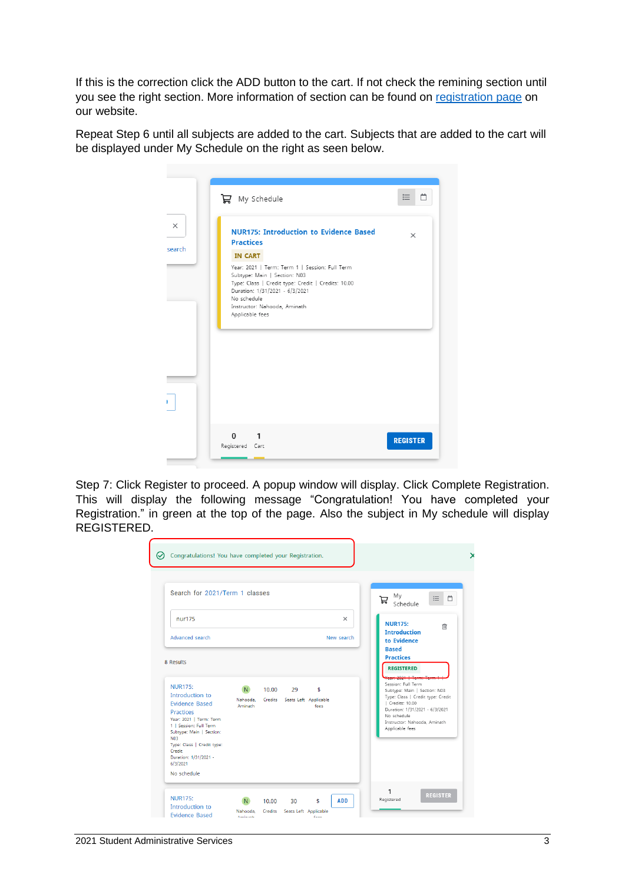If this is the correction click the ADD button to the cart. If not check the remining section until you see the right section. More information of section can be found on [registration](https://mnu.edu.mv/registration/) page on our website.

Repeat Step 6 until all subjects are added to the cart. Subjects that are added to the cart will be displayed under My Schedule on the right as seen below.



Step 7: Click Register to proceed. A popup window will display. Click Complete Registration. This will display the following message "Congratulation! You have completed your Registration." in green at the top of the page. Also the subject in My schedule will display REGISTERED.

| Congratulations! You have completed your Registration.<br>∞                                                                                                                                                                                                                      |                                  |       |                                     |            |            |                                                                                                                                                                                                                 |
|----------------------------------------------------------------------------------------------------------------------------------------------------------------------------------------------------------------------------------------------------------------------------------|----------------------------------|-------|-------------------------------------|------------|------------|-----------------------------------------------------------------------------------------------------------------------------------------------------------------------------------------------------------------|
| Search for 2021/Term 1 classes                                                                                                                                                                                                                                                   |                                  |       |                                     |            |            | My<br>$\Box$<br>三<br>Ħ<br>Schedule                                                                                                                                                                              |
| nur175                                                                                                                                                                                                                                                                           |                                  |       |                                     |            | $\times$   | <b>NUR175:</b><br>侕                                                                                                                                                                                             |
| Advanced search                                                                                                                                                                                                                                                                  |                                  |       |                                     |            | New search | <b>Introduction</b><br>to Evidence<br><b>Based</b>                                                                                                                                                              |
| 8 Results                                                                                                                                                                                                                                                                        |                                  |       |                                     |            |            | <b>Practices</b><br><b>REGISTERED</b>                                                                                                                                                                           |
| <b>NUR175:</b><br>Introduction to<br><b>Evidence Based</b><br><b>Practices</b><br>Year: 2021   Term: Term<br>1   Session: Full Term<br>Subtype: Main   Section:<br><b>N03</b><br>Type: Class   Credit type:<br><b>Credit</b><br>Duration: 1/31/2021 -<br>6/3/2021<br>No schedule | N.<br>Nahooda.<br><b>Aminath</b> | 10.00 | 29<br>Credits Seats Left Applicable | \$<br>fees |            | Session: Full Term<br>Subtype: Main   Section: N03<br>Type: Class   Credit type: Credit<br>  Credits: 10.00<br>Duration: 1/31/2021 - 6/3/2021<br>No schedule<br>Instructor: Nahooda, Aminath<br>Applicable fees |
| <b>NUR175:</b><br>Introduction to<br><b>Evidence Based</b>                                                                                                                                                                                                                       | N.<br>Nahooda,                   | 10.00 | 30<br>Credits Seats Left Applicable | \$         | <b>ADD</b> | 1<br><b>REGISTER</b><br>Registered                                                                                                                                                                              |